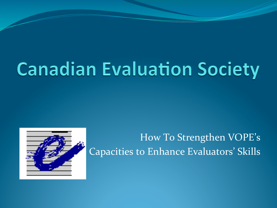# **Canadian Evaluation Society**



How To Strengthen VOPE's Capacities to Enhance Evaluators' Skills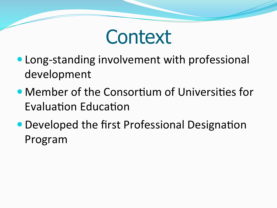

- Long-standing involvement with professional development
- Member of the Consortium of Universities for Evaluation Education
- Developed the first Professional Designation Program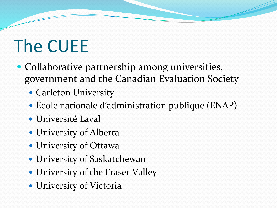## The CUEE

- Collaborative partnership among universities, government and the Canadian Evaluation Society
	- Carleton University
	- $\bullet$  Ecole nationale d'administration publique (ENAP)
	- $\bullet$  Université Laval
	- University of Alberta
	- University of Ottawa
	- University of Saskatchewan
	- University of the Fraser Valley
	- University of Victoria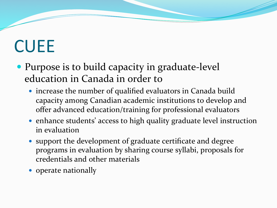## **CUEE**

- Purpose is to build capacity in graduate-level education in Canada in order to
	- $\bullet$  increase the number of qualified evaluators in Canada build capacity among Canadian academic institutions to develop and offer advanced education/training for professional evaluators
	- enhance students' access to high quality graduate level instruction in evaluation
	- support the development of graduate certificate and degree programs in evaluation by sharing course syllabi, proposals for credentials and other materials
	- operate nationally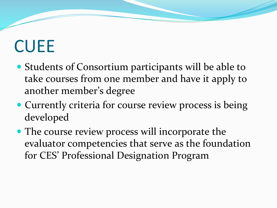#### **CUEE**

- Students of Consortium participants will be able to take courses from one member and have it apply to another member's degree
- Currently criteria for course review process is being developed
- The course review process will incorporate the evaluator competencies that serve as the foundation for CES' Professional Designation Program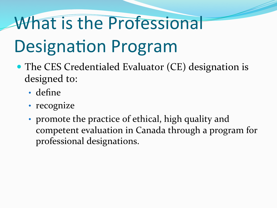## What is the Professional

## **Designation Program**

- The CES Credentialed Evaluator (CE) designation is designed to:
	- · define
	- · recognize
	- promote the practice of ethical, high quality and competent evaluation in Canada through a program for professional designations.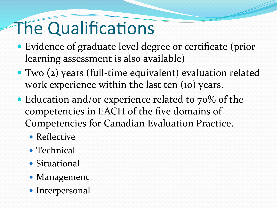## The Qualifications

- Evidence of graduate level degree or certificate (prior learning assessment is also available)
- $\bullet$  Two (2) years (full-time equivalent) evaluation related work experience within the last ten  $(10)$  years.
- Education and/or experience related to  $70\%$  of the competencies in EACH of the five domains of Competencies for Canadian Evaluation Practice.
	- $\bullet$  Reflective
	- $\bullet$  Technical
	- Situational
	- Management
	- $\bullet$  Interpersonal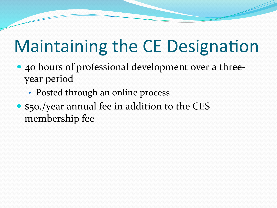## **Maintaining the CE Designation**

- 40 hours of professional development over a threeyear period
	- Posted through an online process
- \$50./year annual fee in addition to the CES membership fee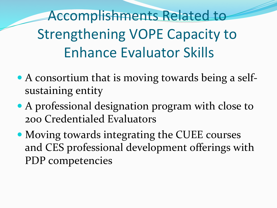Accomplishments Related to Strengthening VOPE Capacity to Enhance Evaluator Skills

- $\bullet$  A consortium that is moving towards being a selfsustaining entity
- $\bullet$  A professional designation program with close to 200 Credentialed Evaluators
- Moving towards integrating the CUEE courses and CES professional development offerings with PDP competencies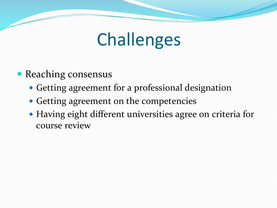#### **Challenges**

- Reaching consensus
	- Getting agreement for a professional designation
	- Getting agreement on the competencies
	- Having eight different universities agree on criteria for course review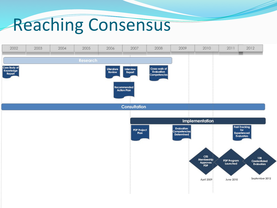#### Reaching Consensus

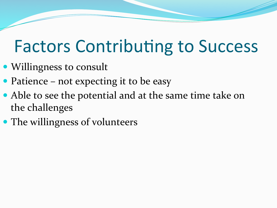#### **Factors Contributing to Success**

- Willingness to consult
- Patience not expecting it to be easy
- Able to see the potential and at the same time take on the challenges
- The willingness of volunteers